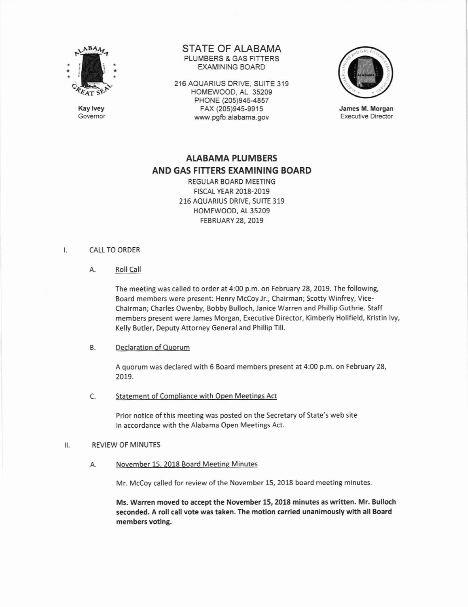

Kay lvey Govemor STATE OF ALABAMA PLUMBERS & GAS FITTERS EXAMINING BOARD

216 AQUARIUS DRIVE, SUITE 319 HOMEWOOD, AL 35209 PHONE (205)945-4857 FAX (205)945-9915 www.pgfb.alabama.gov



James M. Morgan Executive Director

# ALABAMA PLUMBERS AND GAS FITTERS EXAMININ6 BOARD

REGULAR BOARD MEETING F|SCAL YEAR 2018-2019 216 AQUARIUS DRIVE, SUITE 319 HOMEWOOD, At 35209 FEBRUARY 28, 2019

#### $\mathsf{L}$ CALL TO ORDER

A. Roll Call

The meeting was called to order at 4:00 p.m. on February 28, 2019. The following, Board members were present: Henry Mccoy Jr., Chairman; Scotty Winfrey, Vicechairman; Charles Owenby, Bobby Bulloch, Janice warren and Phillip Guthrie. staff members present were James Morgan, Executive Director, Kimberly Holifield, Kristin lvy, Kelly Butler, Deputy Attorney General and Phillip Till.

# B. Declaration of Quorum

A quorum was declared with 6 Board members present at 4:00 p.m. on February 28, 2019.

c Statement of Compliance with Open Meetings Act

> Prior notice of this meeting was posted on the Secretary of State's web site in accordance with the Alabama Open Meetings Act.

#### REVIEW OF MINUTES  $II.$

A. November 15. 2018 Board Meetine Minutes

Mr. McCoy called for review of the November 15, 2018 board meeting minutes.

Ms. Warren moved to accept the November 15, 2018 minutes as written. Mr. Eulloch seconded. A roll call vote was taken. The motion carried unanimously with all Board members voting.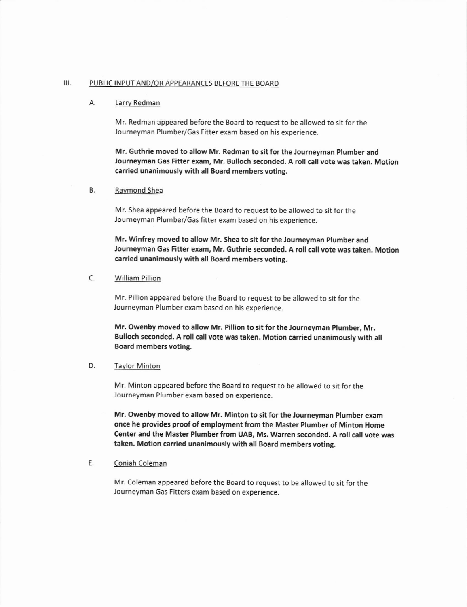### III. PUBLIC INPUT AND/OR APPEARANCES BEFORE THE BOARD

# A. Larrv Redman

Mr. Redman appeared before the Board to request to be allowed to sit for the Journeyman Plumber/Gas Fitter exam based on his experience.

Mr. Guthrie moved to allow Mr. Redman to sit for the Journeyman Plumber and Journeyman Gas Fitter exam, Mr. Bulloch seconded. A roll call vote was taken. Motion carried unanimously with all Board members voting.

### B. Ravmond Shea

Mr. Shea appeared before the Board to request to be allowed to sit for the Journeyman Plumber/Gas fitter exam based on his experience.

Mr. Winfrey moved to allow Mr. Shea to sit for the Journeyman Plumber and Journeyman Gas Fitter exam, Mr. Guthrie seconded. A roll call vote was taken. Motion carried unanimously with all Board members voting.

# C. William Pillion

Mr. Pillion appeared before the Board to request to be allowed to sit for the Journeyman Plumber exam based on his experience.

Mr. Owenby moved to allow Mr. Pillion to sit for the Journeyman plumber, Mr. Bulloch seconded. A roll call vote was taken. Motion carried unanimously with all Board members voting.

### D. Taylor Minton

Mr. Minton appeared before the Board to request to be allowed to sit for the Journeyman Plumber exam based on experience.

Mr. Owenby moved to allow Mr. Minton to sit for the Journeyman Plumber exam once he provides proof of employment from the Master Plumber of Minton Home Center and the Master Plumber from UAB, Ms. Warren seconded. A roll call vote was taken, Motion carried unanimously with all Board members voting.

# E. Coniah Coleman

Mr. Coleman appeared before the Board to request to be allowed to sit for the Journeyman Gas Fitters exam based on experience,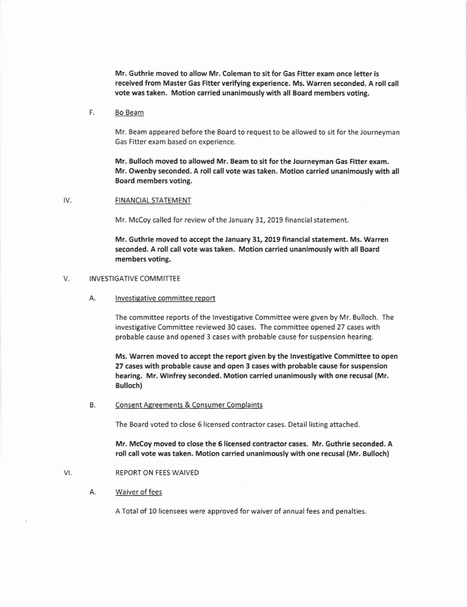Mr. Guthrie moved to allow Mr. Coleman to sit for Gas Fitter exam once lefter is received from Master Gas Fitter verifying experience. Ms. Warren seconded. A roll call vote was taken. Motion carried unanimously with all Board members voting.

### F. Bo Beam

Mr. Beam appeared before the Board to request to be allowed to sit for the lourneyman Gas Fitter exam based on experience.

Mr. Bulloch moved to allowed Mr. Beam to sit for the Journeyman 6as Fitter exam. Mr. Owenby seconded. A roll call vote was taken. Motion carried unanimously with all Board members voting.

#### IV. FINANCIAL STATEMENT

Mr. McCoy called for review of the January 31, 2019 financial statement.

Mr. 6uthrie moved to accept the January 31, 2019 financial statement. Ms. Warren seconded, A roll call vote was taken. Motion carried unanimously with all Board members voting.

### V. **INVESTIGATIVE COMMITTEE**

A. lnvestigative committee report

The committee reports of the lnvestigative Committee were given by Mr. Bulloch. The investigative Committee reviewed 30 cases. The committee opened 27 cases with probable cause and opened 3 cases with probable cause for suspension hearing.

Ms. Warren moved to accept the report given by the lnvestigative Committee to open 27 cases with probable cause and open 3 cases with probable cause for suspension hearing. Mr. Winfrey seconded. Motion carried unanimously with one recusal (Mr. Bulloch)

#### B. Consent Agreements & Consumer Complaints

The Board voted to close 5 licensed contractor cases. Detail listing attached.

Mr. Mccoy moved to close the 6 licensed contractor cases. Mr. Guthrie seconded. A roll call vote was taken. Motion carried unanimously with one recusal (Mr. Bulloch)

#### VI. REPORT ON FEES WAIVED

#### Α. Waiver of fees

A Total of 10 licensees were approved for waiver of annual fees and penalties